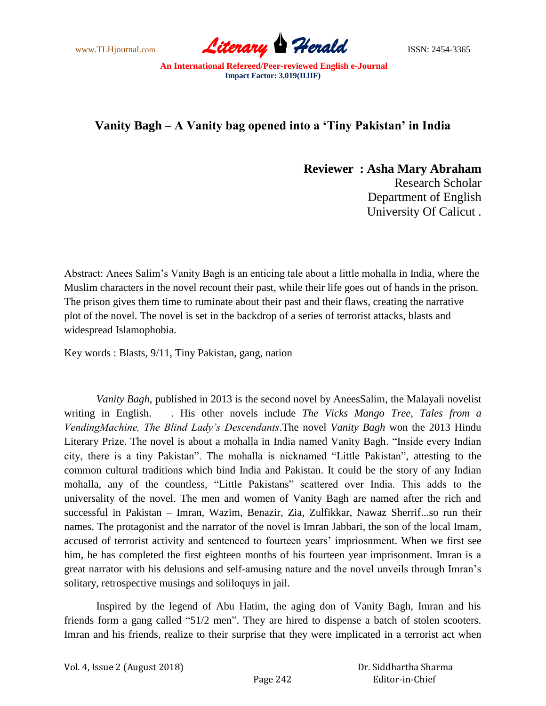www.TLHjournal.com **Literary Herald ISSN: 2454-3365** 

**An International Refereed/Peer-reviewed English e-Journal Impact Factor: 3.019(IIJIF)**

## **Vanity Bagh – A Vanity bag opened into a 'Tiny Pakistan' in India**

**Reviewer : Asha Mary Abraham** Research Scholar Department of English University Of Calicut .

Abstract: Anees Salim's Vanity Bagh is an enticing tale about a little mohalla in India, where the Muslim characters in the novel recount their past, while their life goes out of hands in the prison. The prison gives them time to ruminate about their past and their flaws, creating the narrative plot of the novel. The novel is set in the backdrop of a series of terrorist attacks, blasts and widespread Islamophobia.

Key words : Blasts, 9/11, Tiny Pakistan, gang, nation

*Vanity Bagh*, published in 2013 is the second novel by AneesSalim, the Malayali novelist writing in English. . His other novels include *The Vicks Mango Tree, Tales from a VendingMachine, The Blind Lady's Descendants*.The novel *Vanity Bagh* won the 2013 Hindu Literary Prize. The novel is about a mohalla in India named Vanity Bagh. "Inside every Indian city, there is a tiny Pakistan". The mohalla is nicknamed "Little Pakistan", attesting to the common cultural traditions which bind India and Pakistan. It could be the story of any Indian mohalla, any of the countless, "Little Pakistans" scattered over India. This adds to the universality of the novel. The men and women of Vanity Bagh are named after the rich and successful in Pakistan – Imran, Wazim, Benazir, Zia, Zulfikkar, Nawaz Sherrif...so run their names. The protagonist and the narrator of the novel is Imran Jabbari, the son of the local Imam, accused of terrorist activity and sentenced to fourteen years' impriosnment. When we first see him, he has completed the first eighteen months of his fourteen year imprisonment. Imran is a great narrator with his delusions and self-amusing nature and the novel unveils through Imran's solitary, retrospective musings and soliloquys in jail.

Inspired by the legend of Abu Hatim, the aging don of Vanity Bagh, Imran and his friends form a gang called "51/2 men". They are hired to dispense a batch of stolen scooters. Imran and his friends, realize to their surprise that they were implicated in a terrorist act when

| Vol. 4, Issue 2 (August 2018) |          | Dr. Siddhartha Sharma |
|-------------------------------|----------|-----------------------|
|                               | Page 242 | Editor-in-Chief       |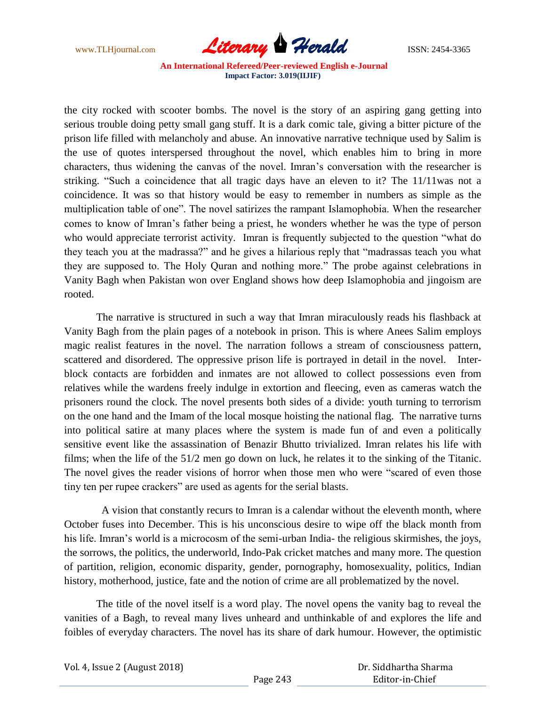

**An International Refereed/Peer-reviewed English e-Journal Impact Factor: 3.019(IIJIF)**

the city rocked with scooter bombs. The novel is the story of an aspiring gang getting into serious trouble doing petty small gang stuff. It is a dark comic tale, giving a bitter picture of the prison life filled with melancholy and abuse. An innovative narrative technique used by Salim is the use of quotes interspersed throughout the novel, which enables him to bring in more characters, thus widening the canvas of the novel. Imran's conversation with the researcher is striking. "Such a coincidence that all tragic days have an eleven to it? The 11/11was not a coincidence. It was so that history would be easy to remember in numbers as simple as the multiplication table of one". The novel satirizes the rampant Islamophobia. When the researcher comes to know of Imran's father being a priest, he wonders whether he was the type of person who would appreciate terrorist activity. Imran is frequently subjected to the question "what do they teach you at the madrassa?" and he gives a hilarious reply that "madrassas teach you what they are supposed to. The Holy Quran and nothing more." The probe against celebrations in Vanity Bagh when Pakistan won over England shows how deep Islamophobia and jingoism are rooted.

The narrative is structured in such a way that Imran miraculously reads his flashback at Vanity Bagh from the plain pages of a notebook in prison. This is where Anees Salim employs magic realist features in the novel. The narration follows a stream of consciousness pattern, scattered and disordered. The oppressive prison life is portrayed in detail in the novel. Interblock contacts are forbidden and inmates are not allowed to collect possessions even from relatives while the wardens freely indulge in extortion and fleecing, even as cameras watch the prisoners round the clock. The novel presents both sides of a divide: youth turning to terrorism on the one hand and the Imam of the local mosque hoisting the national flag. The narrative turns into political satire at many places where the system is made fun of and even a politically sensitive event like the assassination of Benazir Bhutto trivialized. Imran relates his life with films; when the life of the 51/2 men go down on luck, he relates it to the sinking of the Titanic. The novel gives the reader visions of horror when those men who were "scared of even those tiny ten per rupee crackers" are used as agents for the serial blasts.

 A vision that constantly recurs to Imran is a calendar without the eleventh month, where October fuses into December. This is his unconscious desire to wipe off the black month from his life. Imran's world is a microcosm of the semi-urban India- the religious skirmishes, the joys, the sorrows, the politics, the underworld, Indo-Pak cricket matches and many more. The question of partition, religion, economic disparity, gender, pornography, homosexuality, politics, Indian history, motherhood, justice, fate and the notion of crime are all problematized by the novel.

The title of the novel itself is a word play. The novel opens the vanity bag to reveal the vanities of a Bagh, to reveal many lives unheard and unthinkable of and explores the life and foibles of everyday characters. The novel has its share of dark humour. However, the optimistic

| Vol. 4, Issue 2 (August 2018) |          | Dr. Siddhartha Sharma |
|-------------------------------|----------|-----------------------|
|                               | Page 243 | Editor-in-Chief       |